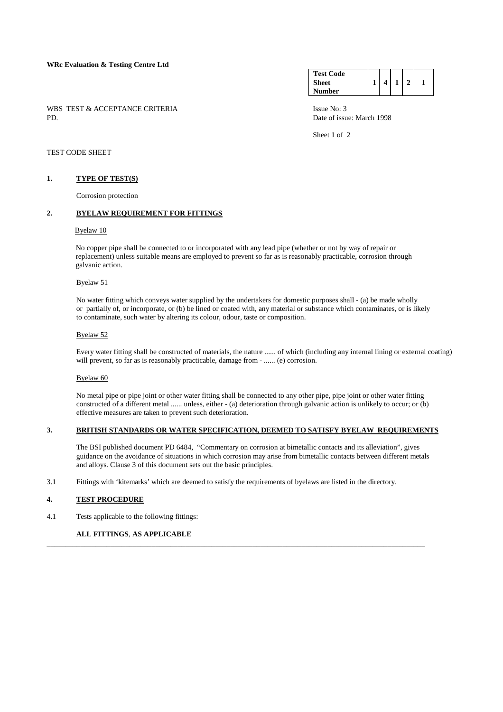### **WRc Evaluation & Testing Centre Ltd**

WBS TEST & ACCEPTANCE CRITERIA ISSUE No: 3<br>PD Date of issue

#### **Test Code Sheet Number**   $1 \mid 4 \mid 1 \mid 2 \mid 1$

Date of issue: March 1998

Sheet 1 of 2

## TEST CODE SHEET

## **1. TYPE OF TEST(S)**

Corrosion protection

## **2. BYELAW REQUIREMENT FOR FITTINGS**

### Byelaw 10

 No copper pipe shall be connected to or incorporated with any lead pipe (whether or not by way of repair or replacement) unless suitable means are employed to prevent so far as is reasonably practicable, corrosion through galvanic action.

\_\_\_\_\_\_\_\_\_\_\_\_\_\_\_\_\_\_\_\_\_\_\_\_\_\_\_\_\_\_\_\_\_\_\_\_\_\_\_\_\_\_\_\_\_\_\_\_\_\_\_\_\_\_\_\_\_\_\_\_\_\_\_\_\_\_\_\_\_\_\_\_\_\_\_\_\_\_\_\_\_\_\_\_\_\_\_\_\_\_\_\_\_\_\_\_\_\_\_\_\_\_\_

### Byelaw 51

 No water fitting which conveys water supplied by the undertakers for domestic purposes shall - (a) be made wholly or partially of, or incorporate, or (b) be lined or coated with, any material or substance which contaminates, or is likely to contaminate, such water by altering its colour, odour, taste or composition.

#### Byelaw 52

 Every water fitting shall be constructed of materials, the nature ...... of which (including any internal lining or external coating) will prevent, so far as is reasonably practicable, damage from - ...... (e) corrosion.

### Byelaw 60

 No metal pipe or pipe joint or other water fitting shall be connected to any other pipe, pipe joint or other water fitting constructed of a different metal ...... unless, either - (a) deterioration through galvanic action is unlikely to occur; or (b) effective measures are taken to prevent such deterioration.

## **3. BRITISH STANDARDS OR WATER SPECIFICATION, DEEMED TO SATISFY BYELAW REQUIREMENTS**

 The BSI published document PD 6484, "Commentary on corrosion at bimetallic contacts and its alleviation", gives guidance on the avoidance of situations in which corrosion may arise from bimetallic contacts between different metals and alloys. Clause 3 of this document sets out the basic principles.

3.1 Fittings with 'kitemarks' which are deemed to satisfy the requirements of byelaws are listed in the directory.

**\_\_\_\_\_\_\_\_\_\_\_\_\_\_\_\_\_\_\_\_\_\_\_\_\_\_\_\_\_\_\_\_\_\_\_\_\_\_\_\_\_\_\_\_\_\_\_\_\_\_\_\_\_\_\_\_\_\_\_\_\_\_\_\_\_\_\_\_\_\_\_\_\_\_\_\_\_\_\_\_\_\_\_\_\_\_\_\_\_\_\_\_\_\_\_\_\_\_\_\_\_** 

### **4. TEST PROCEDURE**

4.1 Tests applicable to the following fittings:

## **ALL FITTINGS**, **AS APPLICABLE**